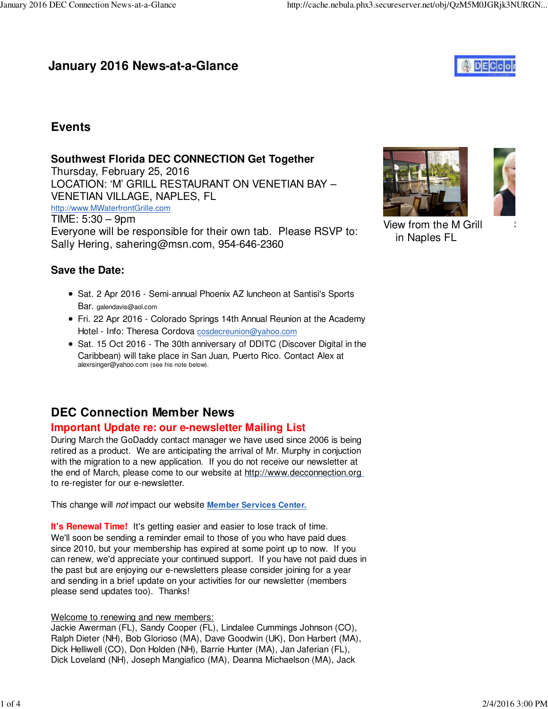## **January 2016 News-at-a-Glance**



### **Events**

#### **Southwest Florida DEC CONNECTION Get Together**

Thursday, February 25, 2016 LOCATION: 'M' GRILL RESTAURANT ON VENETIAN BAY – VENETIAN VILLAGE, NAPLES, FL http://www.MWaterfrontGrille.com TIME: 5:30 – 9pm Everyone will be responsible for their own tab. Please RSVP to: Sally Hering, sahering@msn.com, 954-646-2360





View from the M Grill in Naples FL

#### **Save the Date:**

- Sat. 2 Apr 2016 Semi-annual Phoenix AZ luncheon at Santisi's Sports Bar. galendavis@aol.com
- Fri. 22 Apr 2016 Colorado Springs 14th Annual Reunion at the Academy Hotel - Info: Theresa Cordova cosdecreunion@yahoo.com
- Sat. 15 Oct 2016 The 30th anniversary of DDITC (Discover Digital in the Caribbean) will take place in San Juan, Puerto Rico. Contact Alex at alexrsinger@yahoo.com (see his note below).

### **DEC Connection Member News**

#### **Important Update re: our e-newsletter Mailing List**

During March the GoDaddy contact manager we have used since 2006 is being retired as a product. We are anticipating the arrival of Mr. Murphy in conjuction with the migration to a new application. If you do not receive our newsletter at the end of March, please come to our website at http://www.decconnection.org to re-register for our e-newsletter.

This change will not impact our website **Member Services Center.**

**It's Renewal Time!** It's getting easier and easier to lose track of time. We'll soon be sending a reminder email to those of you who have paid dues since 2010, but your membership has expired at some point up to now. If you can renew, we'd appreciate your continued support. If you have not paid dues in the past but are enjoying our e-newsletters please consider joining for a year and sending in a brief update on your activities for our newsletter (members please send updates too). Thanks!

#### Welcome to renewing and new members:

Jackie Awerman (FL), Sandy Cooper (FL), Lindalee Cummings Johnson (CO), Ralph Dieter (NH), Bob Glorioso (MA), Dave Goodwin (UK), Don Harbert (MA), Dick Helliwell (CO), Don Holden (NH), Barrie Hunter (MA), Jan Jaferian (FL), Dick Loveland (NH), Joseph Mangiafico (MA), Deanna Michaelson (MA), Jack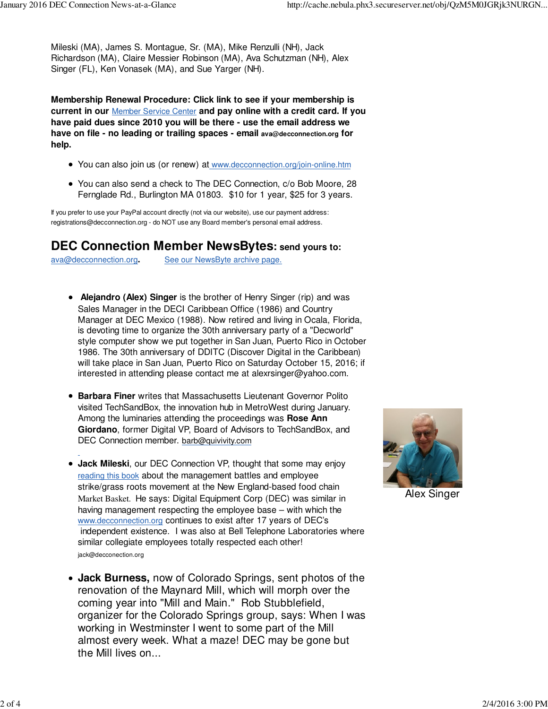Mileski (MA), James S. Montague, Sr. (MA), Mike Renzulli (NH), Jack Richardson (MA), Claire Messier Robinson (MA), Ava Schutzman (NH), Alex Singer (FL), Ken Vonasek (MA), and Sue Yarger (NH).

**Membership Renewal Procedure: Click link to see if your membership is current in our** Member Service Center **and pay online with a credit card. If you have paid dues since 2010 you will be there - use the email address we have on file - no leading or trailing spaces - email ava@decconnection.org for help.**

- You can also join us (or renew) at www.decconnection.org/join-online.htm
- You can also send a check to The DEC Connection, c/o Bob Moore, 28 Fernglade Rd., Burlington MA 01803. \$10 for 1 year, \$25 for 3 years.

If you prefer to use your PayPal account directly (not via our website), use our payment address: registrations@decconnection.org - do NOT use any Board member's personal email address.

### **DEC Connection Member NewsBytes: send yours to:**

ava@decconnection.org**.** See our NewsByte archive page.

- **Alejandro (Alex) Singer** is the brother of Henry Singer (rip) and was Sales Manager in the DECI Caribbean Office (1986) and Country Manager at DEC Mexico (1988). Now retired and living in Ocala, Florida, is devoting time to organize the 30th anniversary party of a "Decworld" style computer show we put together in San Juan, Puerto Rico in October 1986. The 30th anniversary of DDITC (Discover Digital in the Caribbean) will take place in San Juan, Puerto Rico on Saturday October 15, 2016; if interested in attending please contact me at alexrsinger@yahoo.com.
- **Barbara Finer** writes that Massachusetts Lieutenant Governor Polito visited TechSandBox, the innovation hub in MetroWest during January. Among the luminaries attending the proceedings was **Rose Ann Giordano**, former Digital VP, Board of Advisors to TechSandBox, and DEC Connection member. barb@quivivity.com
- **Jack Mileski**, our DEC Connection VP, thought that some may enjoy reading this book about the management battles and employee strike/grass roots movement at the New England-based food chain Market Basket. He says: Digital Equipment Corp (DEC) was similar in having management respecting the employee base – with which the www.decconnection.org continues to exist after 17 years of DEC's independent existence. I was also at Bell Telephone Laboratories where similar collegiate employees totally respected each other! jack@decconection.org
- **Jack Burness,** now of Colorado Springs, sent photos of the renovation of the Maynard Mill, which will morph over the coming year into "Mill and Main." Rob Stubblefield, organizer for the Colorado Springs group, says: When I was working in Westminster I went to some part of the Mill almost every week. What a maze! DEC may be gone but the Mill lives on...



Alex Singer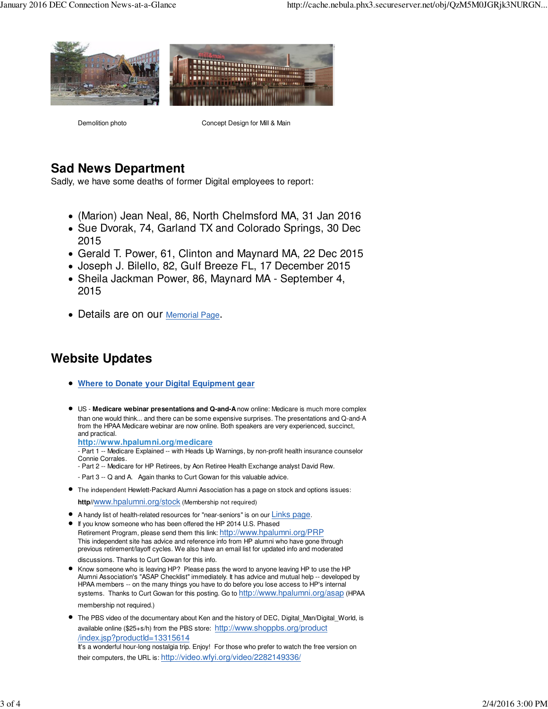

Demolition photo Concept Design for Mill & Main

## **Sad News Department**

Sadly, we have some deaths of former Digital employees to report:

- (Marion) Jean Neal, 86, North Chelmsford MA, 31 Jan 2016
- Sue Dvorak, 74, Garland TX and Colorado Springs, 30 Dec 2015
- Gerald T. Power, 61, Clinton and Maynard MA, 22 Dec 2015
- Joseph J. Bilello, 82, Gulf Breeze FL, 17 December 2015
- Sheila Jackman Power, 86, Maynard MA September 4, 2015
- Details are on our Memorial Page.

# **Website Updates**

- **Where to Donate your Digital Equipment gear**
- US - **Medicare webinar presentations and Q-and-A** now online: Medicare is much more complex than one would think... and there can be some expensive surprises. The presentations and Q-and-A from the HPAA Medicare webinar are now online. Both speakers are very experienced, succinct, and practical.

**http://www.hpalumni.org/medicare**

- Part 1 -- Medicare Explained -- with Heads Up Warnings, by non-profit health insurance counselor Connie Corrales.

- Part 2 -- Medicare for HP Retirees, by Aon Retiree Health Exchange analyst David Rew.

- Part 3 -- Q and A. Again thanks to Curt Gowan for this valuable advice.
- The independent Hewlett-Packard Alumni Association has a page on stock and options issues:

**http//**www.hpalumni.org/stock (Membership not required)

- A handy list of health-related resources for "near-seniors" is on our Links page.
- If you know someone who has been offered the HP 2014 U.S. Phased Retirement Program, please send them this link: http://www.hpalumni.org/PRP This independent site has advice and reference info from HP alumni who have gone through previous retirement/layoff cycles. We also have an email list for updated info and moderated

discussions. Thanks to Curt Gowan for this info.

- Know someone who is leaving HP? Please pass the word to anyone leaving HP to use the HP Alumni Association's "ASAP Checklist" immediately. It has advice and mutual help -- developed by HPAA members -- on the many things you have to do before you lose access to HP's internal systems. Thanks to Curt Gowan for this posting. Go to http://www.hpalumni.org/asap (HPAA membership not required.)
- The PBS video of the documentary about Ken and the history of DEC, Digital\_Man/Digital\_World, is available online (\$25+s/h) from the PBS store: http://www.shoppbs.org/product /index.jsp?productId=13315614 It's a wonderful hour-long nostalgia trip. Enjoy! For those who prefer to watch the free version on their computers, the URL is: http://video.wfyi.org/video/2282149336/